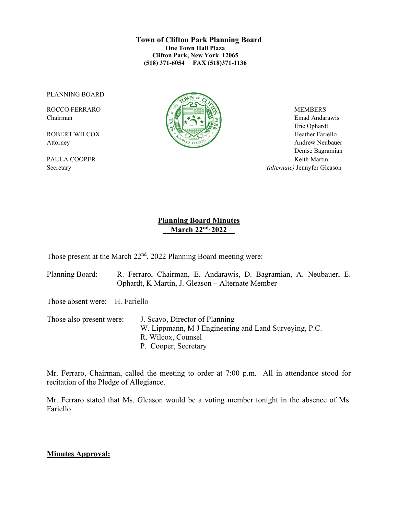#### **Town of Clifton Park Planning Board One Town Hall Plaza Clifton Park, New York 12065 (518) 371-6054 FAX (518)371-1136**

PLANNING BOARD



Chairman Emad Andarawis  $\left[\begin{array}{c|c} \Delta \end{array}\right]$   $\rightarrow \infty$   $\left[\begin{array}{c|c} \Delta \end{array}\right]$  Emad Andarawis Eric Ophardt Attorney Andrew Neubauer Denise Bagramian PAULA COOPER Keith Martin Secretary *(alternate)* Jennyfer Gleason

# **Planning Board Minutes March 22nd, 2022\_\_**

Those present at the March 22<sup>nd</sup>, 2022 Planning Board meeting were:

Planning Board: R. Ferraro, Chairman, E. Andarawis, D. Bagramian, A. Neubauer, E. Ophardt, K Martin, J. Gleason – Alternate Member

Those absent were: H. Fariello

Those also present were: J. Scavo, Director of Planning W. Lippmann, M J Engineering and Land Surveying, P.C. R. Wilcox, Counsel P. Cooper, Secretary

Mr. Ferraro, Chairman, called the meeting to order at 7:00 p.m. All in attendance stood for recitation of the Pledge of Allegiance.

Mr. Ferraro stated that Ms. Gleason would be a voting member tonight in the absence of Ms. Fariello.

#### **Minutes Approval:**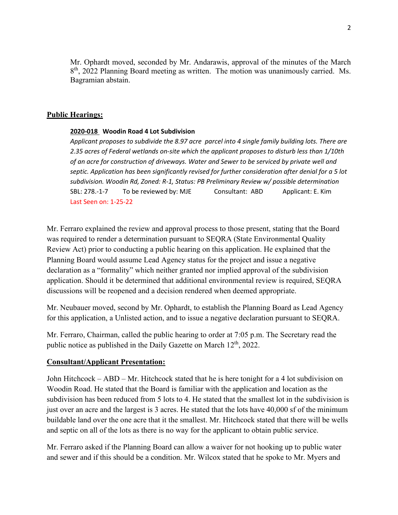Mr. Ophardt moved, seconded by Mr. Andarawis, approval of the minutes of the March 8<sup>th</sup>, 2022 Planning Board meeting as written. The motion was unanimously carried. Ms. Bagramian abstain.

#### **Public Hearings:**

#### **2020-018 Woodin Road 4 Lot Subdivision**

*Applicant proposes to subdivide the 8.97 acre parcel into 4 single family building lots. There are 2.35 acres of Federal wetlands on-site which the applicant proposes to disturb less than 1/10th of an acre for construction of driveways. Water and Sewer to be serviced by private well and septic. Application has been significantly revised for further consideration after denial for a 5 lot subdivision. Woodin Rd, Zoned: R-1, Status: PB Preliminary Review w/ possible determination* SBL: 278.-1-7To be reviewed by: MJE Consultant: ABD Applicant: E. Kim Last Seen on: 1-25-22

Mr. Ferraro explained the review and approval process to those present, stating that the Board was required to render a determination pursuant to SEQRA (State Environmental Quality Review Act) prior to conducting a public hearing on this application. He explained that the Planning Board would assume Lead Agency status for the project and issue a negative declaration as a "formality" which neither granted nor implied approval of the subdivision application. Should it be determined that additional environmental review is required, SEQRA discussions will be reopened and a decision rendered when deemed appropriate.

Mr. Neubauer moved, second by Mr. Ophardt, to establish the Planning Board as Lead Agency for this application, a Unlisted action, and to issue a negative declaration pursuant to SEQRA.

Mr. Ferraro, Chairman, called the public hearing to order at 7:05 p.m. The Secretary read the public notice as published in the Daily Gazette on March  $12<sup>th</sup>$ , 2022.

#### **Consultant/Applicant Presentation:**

John Hitchcock – ABD – Mr. Hitchcock stated that he is here tonight for a 4 lot subdivision on Woodin Road. He stated that the Board is familiar with the application and location as the subdivision has been reduced from 5 lots to 4. He stated that the smallest lot in the subdivision is just over an acre and the largest is 3 acres. He stated that the lots have 40,000 sf of the minimum buildable land over the one acre that it the smallest. Mr. Hitchcock stated that there will be wells and septic on all of the lots as there is no way for the applicant to obtain public service.

Mr. Ferraro asked if the Planning Board can allow a waiver for not hooking up to public water and sewer and if this should be a condition. Mr. Wilcox stated that he spoke to Mr. Myers and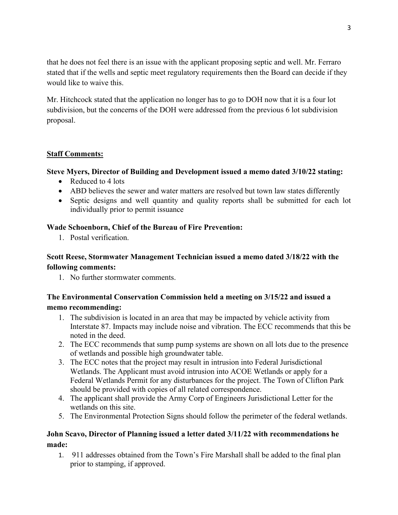that he does not feel there is an issue with the applicant proposing septic and well. Mr. Ferraro stated that if the wells and septic meet regulatory requirements then the Board can decide if they would like to waive this.

Mr. Hitchcock stated that the application no longer has to go to DOH now that it is a four lot subdivision, but the concerns of the DOH were addressed from the previous 6 lot subdivision proposal.

# **Staff Comments:**

### **Steve Myers, Director of Building and Development issued a memo dated 3/10/22 stating:**

- Reduced to 4 lots
- ABD believes the sewer and water matters are resolved but town law states differently
- Septic designs and well quantity and quality reports shall be submitted for each lot individually prior to permit issuance

#### **Wade Schoenborn, Chief of the Bureau of Fire Prevention:**

1. Postal verification.

# **Scott Reese, Stormwater Management Technician issued a memo dated 3/18/22 with the following comments:**

1. No further stormwater comments.

# **The Environmental Conservation Commission held a meeting on 3/15/22 and issued a memo recommending:**

- 1. The subdivision is located in an area that may be impacted by vehicle activity from Interstate 87. Impacts may include noise and vibration. The ECC recommends that this be noted in the deed.
- 2. The ECC recommends that sump pump systems are shown on all lots due to the presence of wetlands and possible high groundwater table.
- 3. The ECC notes that the project may result in intrusion into Federal Jurisdictional Wetlands. The Applicant must avoid intrusion into ACOE Wetlands or apply for a Federal Wetlands Permit for any disturbances for the project. The Town of Clifton Park should be provided with copies of all related correspondence.
- 4. The applicant shall provide the Army Corp of Engineers Jurisdictional Letter for the wetlands on this site.
- 5. The Environmental Protection Signs should follow the perimeter of the federal wetlands.

# **John Scavo, Director of Planning issued a letter dated 3/11/22 with recommendations he made:**

1. 911 addresses obtained from the Town's Fire Marshall shall be added to the final plan prior to stamping, if approved.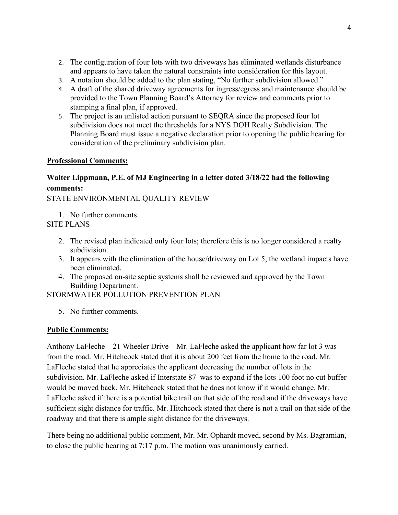- 2. The configuration of four lots with two driveways has eliminated wetlands disturbance and appears to have taken the natural constraints into consideration for this layout.
- 3. A notation should be added to the plan stating, "No further subdivision allowed."
- 4. A draft of the shared driveway agreements for ingress/egress and maintenance should be provided to the Town Planning Board's Attorney for review and comments prior to stamping a final plan, if approved.
- 5. The project is an unlisted action pursuant to SEQRA since the proposed four lot subdivision does not meet the thresholds for a NYS DOH Realty Subdivision. The Planning Board must issue a negative declaration prior to opening the public hearing for consideration of the preliminary subdivision plan.

# **Professional Comments:**

# **Walter Lippmann, P.E. of MJ Engineering in a letter dated 3/18/22 had the following comments:**

STATE ENVIRONMENTAL QUALITY REVIEW

1. No further comments.

SITE PLANS

- 2. The revised plan indicated only four lots; therefore this is no longer considered a realty subdivision.
- 3. It appears with the elimination of the house/driveway on Lot 5, the wetland impacts have been eliminated.
- 4. The proposed on-site septic systems shall be reviewed and approved by the Town Building Department.

STORMWATER POLLUTION PREVENTION PLAN

5. No further comments.

# **Public Comments:**

Anthony LaFleche – 21 Wheeler Drive – Mr. LaFleche asked the applicant how far lot 3 was from the road. Mr. Hitchcock stated that it is about 200 feet from the home to the road. Mr. LaFleche stated that he appreciates the applicant decreasing the number of lots in the subdivision. Mr. LaFleche asked if Interstate 87 was to expand if the lots 100 foot no cut buffer would be moved back. Mr. Hitchcock stated that he does not know if it would change. Mr. LaFleche asked if there is a potential bike trail on that side of the road and if the driveways have sufficient sight distance for traffic. Mr. Hitchcock stated that there is not a trail on that side of the roadway and that there is ample sight distance for the driveways.

There being no additional public comment, Mr. Mr. Ophardt moved, second by Ms. Bagramian, to close the public hearing at 7:17 p.m. The motion was unanimously carried.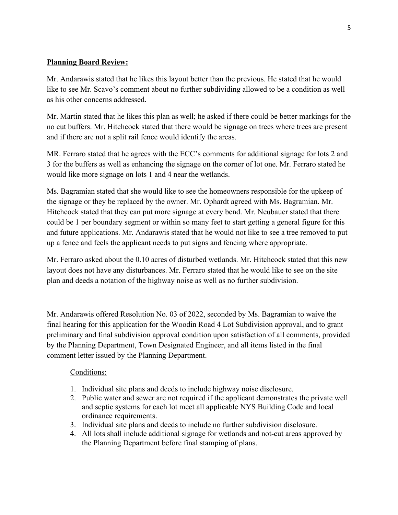# **Planning Board Review:**

Mr. Andarawis stated that he likes this layout better than the previous. He stated that he would like to see Mr. Scavo's comment about no further subdividing allowed to be a condition as well as his other concerns addressed.

Mr. Martin stated that he likes this plan as well; he asked if there could be better markings for the no cut buffers. Mr. Hitchcock stated that there would be signage on trees where trees are present and if there are not a split rail fence would identify the areas.

MR. Ferraro stated that he agrees with the ECC's comments for additional signage for lots 2 and 3 for the buffers as well as enhancing the signage on the corner of lot one. Mr. Ferraro stated he would like more signage on lots 1 and 4 near the wetlands.

Ms. Bagramian stated that she would like to see the homeowners responsible for the upkeep of the signage or they be replaced by the owner. Mr. Ophardt agreed with Ms. Bagramian. Mr. Hitchcock stated that they can put more signage at every bend. Mr. Neubauer stated that there could be 1 per boundary segment or within so many feet to start getting a general figure for this and future applications. Mr. Andarawis stated that he would not like to see a tree removed to put up a fence and feels the applicant needs to put signs and fencing where appropriate.

Mr. Ferraro asked about the 0.10 acres of disturbed wetlands. Mr. Hitchcock stated that this new layout does not have any disturbances. Mr. Ferraro stated that he would like to see on the site plan and deeds a notation of the highway noise as well as no further subdivision.

Mr. Andarawis offered Resolution No. 03 of 2022, seconded by Ms. Bagramian to waive the final hearing for this application for the Woodin Road 4 Lot Subdivision approval, and to grant preliminary and final subdivision approval condition upon satisfaction of all comments, provided by the Planning Department, Town Designated Engineer, and all items listed in the final comment letter issued by the Planning Department.

# Conditions:

- 1. Individual site plans and deeds to include highway noise disclosure.
- 2. Public water and sewer are not required if the applicant demonstrates the private well and septic systems for each lot meet all applicable NYS Building Code and local ordinance requirements.
- 3. Individual site plans and deeds to include no further subdivision disclosure.
- 4. All lots shall include additional signage for wetlands and not-cut areas approved by the Planning Department before final stamping of plans.